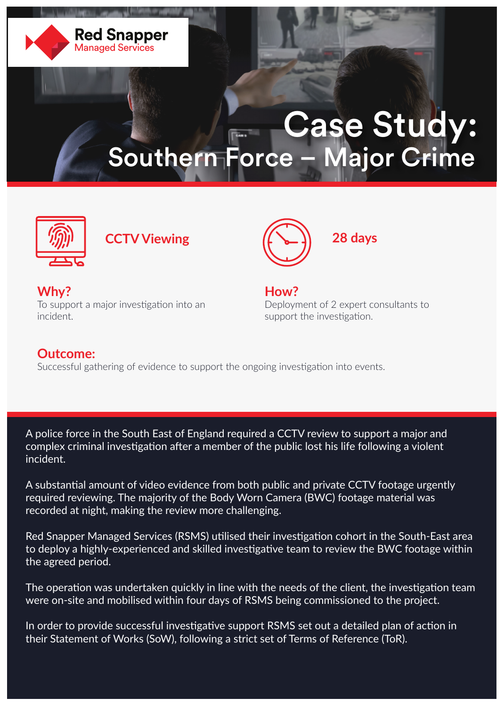

## Case Study: Southern Force – Major Crime





**Why?** To support a major investigation into an incident.

**How?** Deployment of 2 expert consultants to support the investigation.

## **Outcome:**

Successful gathering of evidence to support the ongoing investigation into events.

A police force in the South East of England required a CCTV review to support a major and complex criminal investigation after a member of the public lost his life following a violent incident.

A substantial amount of video evidence from both public and private CCTV footage urgently required reviewing. The majority of the Body Worn Camera (BWC) footage material was recorded at night, making the review more challenging.

Red Snapper Managed Services (RSMS) utilised their investigation cohort in the South-East area to deploy a highly-experienced and skilled investigative team to review the BWC footage within the agreed period.

The operation was undertaken quickly in line with the needs of the client, the investigation team were on-site and mobilised within four days of RSMS being commissioned to the project.

In order to provide successful investigative support RSMS set out a detailed plan of action in their Statement of Works (SoW), following a strict set of Terms of Reference (ToR).